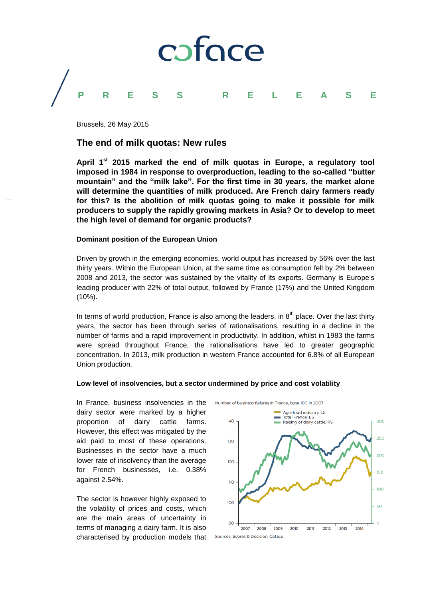

Brussels, 26 May 2015

# **The end of milk quotas: New rules**

**April 1st 2015 marked the end of milk quotas in Europe, a regulatory tool imposed in 1984 in response to overproduction, leading to the so-called "butter mountain" and the "milk lake". For the first time in 30 years, the market alone will determine the quantities of milk produced. Are French dairy farmers ready for this? Is the abolition of milk quotas going to make it possible for milk producers to supply the rapidly growing markets in Asia? Or to develop to meet the high level of demand for organic products?**

# **Dominant position of the European Union**

Driven by growth in the emerging economies, world output has increased by 56% over the last thirty years. Within the European Union, at the same time as consumption fell by 2% between 2008 and 2013, the sector was sustained by the vitality of its exports. Germany is Europe's leading producer with 22% of total output, followed by France (17%) and the United Kingdom (10%).

In terms of world production, France is also among the leaders, in  $8<sup>th</sup>$  place. Over the last thirty years, the sector has been through series of rationalisations, resulting in a decline in the number of farms and a rapid improvement in productivity. In addition, whilst in 1983 the farms were spread throughout France, the rationalisations have led to greater geographic concentration. In 2013, milk production in western France accounted for 6.8% of all European Union production.

### **Low level of insolvencies, but a sector undermined by price and cost volatility**

In France, business insolvencies in the dairy sector were marked by a higher proportion of dairy cattle farms. However, this effect was mitigated by the aid paid to most of these operations. Businesses in the sector have a much lower rate of insolvency than the average for French businesses, i.e. 0.38% against 2.54%.

The sector is however highly exposed to the volatility of prices and costs, which are the main areas of uncertainty in terms of managing a dairy farm. It is also characterised by production models that